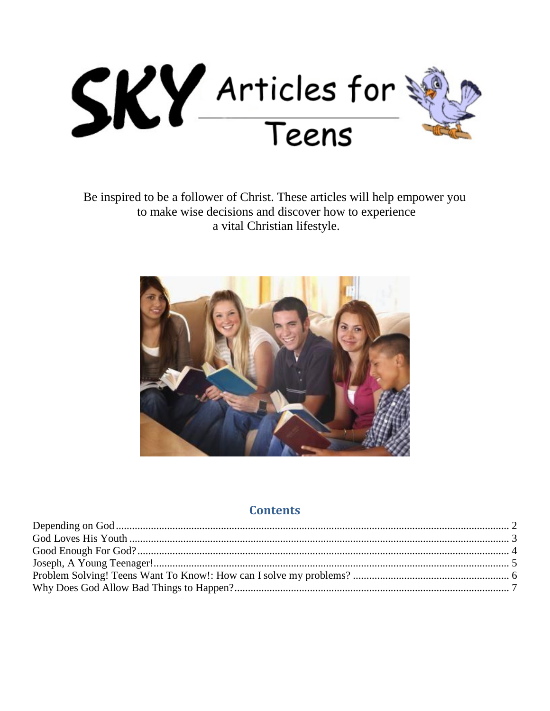

Be inspired to be a follower of Christ. These articles will help empower you to make wise decisions and discover how to experience a vital Christian lifestyle.



#### **Contents**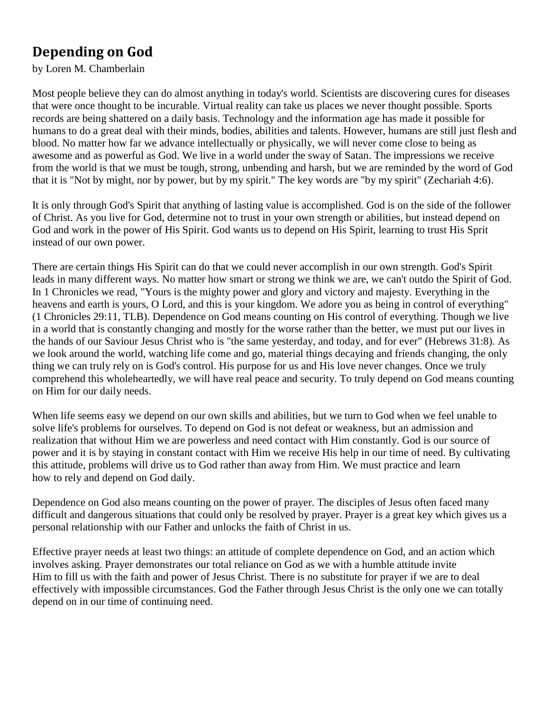# <span id="page-1-0"></span>**Depending on God**

by Loren M. Chamberlain

Most people believe they can do almost anything in today's world. Scientists are discovering cures for diseases that were once thought to be incurable. Virtual reality can take us places we never thought possible. Sports records are being shattered on a daily basis. Technology and the information age has made it possible for humans to do a great deal with their minds, bodies, abilities and talents. However, humans are still just flesh and blood. No matter how far we advance intellectually or physically, we will never come close to being as awesome and as powerful as God. We live in a world under the sway of Satan. The impressions we receive from the world is that we must be tough, strong, unbending and harsh, but we are reminded by the word of God that it is "Not by might, nor by power, but by my spirit." The key words are "by my spirit" (Zechariah 4:6).

It is only through God's Spirit that anything of lasting value is accomplished. God is on the side of the follower of Christ. As you live for God, determine not to trust in your own strength or abilities, but instead depend on God and work in the power of His Spirit. God wants us to depend on His Spirit, learning to trust His Sprit instead of our own power.

There are certain things His Spirit can do that we could never accomplish in our own strength. God's Spirit leads in many different ways. No matter how smart or strong we think we are, we can't outdo the Spirit of God. In 1 Chronicles we read, "Yours is the mighty power and glory and victory and majesty. Everything in the heavens and earth is yours, O Lord, and this is your kingdom. We adore you as being in control of everything" (1 Chronicles 29:11, TLB). Dependence on God means counting on His control of everything. Though we live in a world that is constantly changing and mostly for the worse rather than the better, we must put our lives in the hands of our Saviour Jesus Christ who is "the same yesterday, and today, and for ever" (Hebrews 31:8). As we look around the world, watching life come and go, material things decaying and friends changing, the only thing we can truly rely on is God's control. His purpose for us and His love never changes. Once we truly comprehend this wholeheartedly, we will have real peace and security. To truly depend on God means counting on Him for our daily needs.

When life seems easy we depend on our own skills and abilities, but we turn to God when we feel unable to solve life's problems for ourselves. To depend on God is not defeat or weakness, but an admission and realization that without Him we are powerless and need contact with Him constantly. God is our source of power and it is by staying in constant contact with Him we receive His help in our time of need. By cultivating this attitude, problems will drive us to God rather than away from Him. We must practice and learn how to rely and depend on God daily.

Dependence on God also means counting on the power of prayer. The disciples of Jesus often faced many difficult and dangerous situations that could only be resolved by prayer. Prayer is a great key which gives us a personal relationship with our Father and unlocks the faith of Christ in us.

Effective prayer needs at least two things: an attitude of complete dependence on God, and an action which involves asking. Prayer demonstrates our total reliance on God as we with a humble attitude invite Him to fill us with the faith and power of Jesus Christ. There is no substitute for prayer if we are to deal effectively with impossible circumstances. God the Father through Jesus Christ is the only one we can totally depend on in our time of continuing need.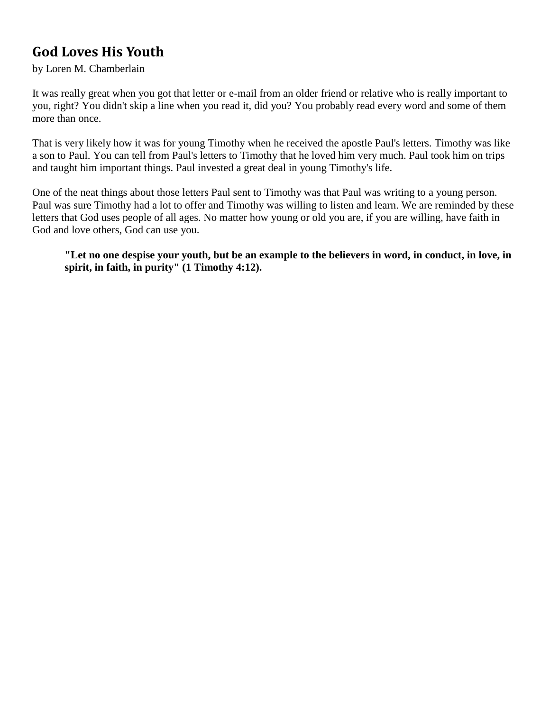## <span id="page-2-0"></span>**God Loves His Youth**

#### by Loren M. Chamberlain

It was really great when you got that letter or e-mail from an older friend or relative who is really important to you, right? You didn't skip a line when you read it, did you? You probably read every word and some of them more than once.

That is very likely how it was for young Timothy when he received the apostle Paul's letters. Timothy was like a son to Paul. You can tell from Paul's letters to Timothy that he loved him very much. Paul took him on trips and taught him important things. Paul invested a great deal in young Timothy's life.

One of the neat things about those letters Paul sent to Timothy was that Paul was writing to a young person. Paul was sure Timothy had a lot to offer and Timothy was willing to listen and learn. We are reminded by these letters that God uses people of all ages. No matter how young or old you are, if you are willing, have faith in God and love others, God can use you.

**"Let no one despise your youth, but be an example to the believers in word, in conduct, in love, in spirit, in faith, in purity" (1 Timothy 4:12).**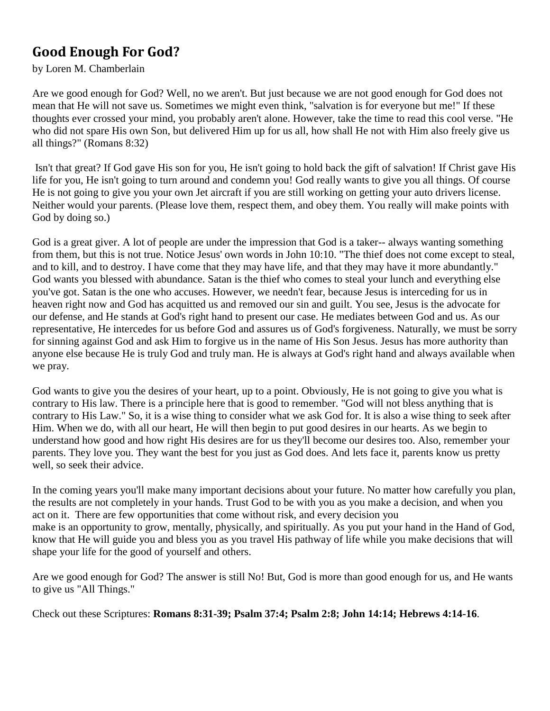## <span id="page-3-0"></span>**Good Enough For God?**

by Loren M. Chamberlain

Are we good enough for God? Well, no we aren't. But just because we are not good enough for God does not mean that He will not save us. Sometimes we might even think, "salvation is for everyone but me!" If these thoughts ever crossed your mind, you probably aren't alone. However, take the time to read this cool verse. "He who did not spare His own Son, but delivered Him up for us all, how shall He not with Him also freely give us all things?" (Romans 8:32)

Isn't that great? If God gave His son for you, He isn't going to hold back the gift of salvation! If Christ gave His life for you, He isn't going to turn around and condemn you! God really wants to give you all things. Of course He is not going to give you your own Jet aircraft if you are still working on getting your auto drivers license. Neither would your parents. (Please love them, respect them, and obey them. You really will make points with God by doing so.)

God is a great giver. A lot of people are under the impression that God is a taker-- always wanting something from them, but this is not true. Notice Jesus' own words in John 10:10. "The thief does not come except to steal, and to kill, and to destroy. I have come that they may have life, and that they may have it more abundantly." God wants you blessed with abundance. Satan is the thief who comes to steal your lunch and everything else you've got. Satan is the one who accuses. However, we needn't fear, because Jesus is interceding for us in heaven right now and God has acquitted us and removed our sin and guilt. You see, Jesus is the advocate for our defense, and He stands at God's right hand to present our case. He mediates between God and us. As our representative, He intercedes for us before God and assures us of God's forgiveness. Naturally, we must be sorry for sinning against God and ask Him to forgive us in the name of His Son Jesus. Jesus has more authority than anyone else because He is truly God and truly man. He is always at God's right hand and always available when we pray.

God wants to give you the desires of your heart, up to a point. Obviously, He is not going to give you what is contrary to His law. There is a principle here that is good to remember. "God will not bless anything that is contrary to His Law." So, it is a wise thing to consider what we ask God for. It is also a wise thing to seek after Him. When we do, with all our heart, He will then begin to put good desires in our hearts. As we begin to understand how good and how right His desires are for us they'll become our desires too. Also, remember your parents. They love you. They want the best for you just as God does. And lets face it, parents know us pretty well, so seek their advice.

In the coming years you'll make many important decisions about your future. No matter how carefully you plan, the results are not completely in your hands. Trust God to be with you as you make a decision, and when you act on it. There are few opportunities that come without risk, and every decision you make is an opportunity to grow, mentally, physically, and spiritually. As you put your hand in the Hand of God, know that He will guide you and bless you as you travel His pathway of life while you make decisions that will shape your life for the good of yourself and others.

Are we good enough for God? The answer is still No! But, God is more than good enough for us, and He wants to give us "All Things."

Check out these Scriptures: **Romans 8:31-39; Psalm 37:4; Psalm 2:8; John 14:14; Hebrews 4:14-16**.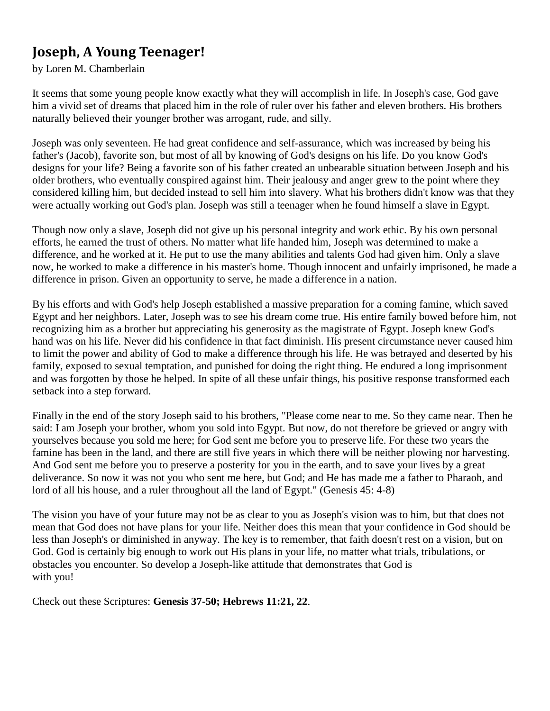## <span id="page-4-0"></span>**Joseph, A Young Teenager!**

#### by Loren M. Chamberlain

It seems that some young people know exactly what they will accomplish in life. In Joseph's case, God gave him a vivid set of dreams that placed him in the role of ruler over his father and eleven brothers. His brothers naturally believed their younger brother was arrogant, rude, and silly.

Joseph was only seventeen. He had great confidence and self-assurance, which was increased by being his father's (Jacob), favorite son, but most of all by knowing of God's designs on his life. Do you know God's designs for your life? Being a favorite son of his father created an unbearable situation between Joseph and his older brothers, who eventually conspired against him. Their jealousy and anger grew to the point where they considered killing him, but decided instead to sell him into slavery. What his brothers didn't know was that they were actually working out God's plan. Joseph was still a teenager when he found himself a slave in Egypt.

Though now only a slave, Joseph did not give up his personal integrity and work ethic. By his own personal efforts, he earned the trust of others. No matter what life handed him, Joseph was determined to make a difference, and he worked at it. He put to use the many abilities and talents God had given him. Only a slave now, he worked to make a difference in his master's home. Though innocent and unfairly imprisoned, he made a difference in prison. Given an opportunity to serve, he made a difference in a nation.

By his efforts and with God's help Joseph established a massive preparation for a coming famine, which saved Egypt and her neighbors. Later, Joseph was to see his dream come true. His entire family bowed before him, not recognizing him as a brother but appreciating his generosity as the magistrate of Egypt. Joseph knew God's hand was on his life. Never did his confidence in that fact diminish. His present circumstance never caused him to limit the power and ability of God to make a difference through his life. He was betrayed and deserted by his family, exposed to sexual temptation, and punished for doing the right thing. He endured a long imprisonment and was forgotten by those he helped. In spite of all these unfair things, his positive response transformed each setback into a step forward.

Finally in the end of the story Joseph said to his brothers, "Please come near to me. So they came near. Then he said: I am Joseph your brother, whom you sold into Egypt. But now, do not therefore be grieved or angry with yourselves because you sold me here; for God sent me before you to preserve life. For these two years the famine has been in the land, and there are still five years in which there will be neither plowing nor harvesting. And God sent me before you to preserve a posterity for you in the earth, and to save your lives by a great deliverance. So now it was not you who sent me here, but God; and He has made me a father to Pharaoh, and lord of all his house, and a ruler throughout all the land of Egypt." (Genesis 45: 4-8)

The vision you have of your future may not be as clear to you as Joseph's vision was to him, but that does not mean that God does not have plans for your life. Neither does this mean that your confidence in God should be less than Joseph's or diminished in anyway. The key is to remember, that faith doesn't rest on a vision, but on God. God is certainly big enough to work out His plans in your life, no matter what trials, tribulations, or obstacles you encounter. So develop a Joseph-like attitude that demonstrates that God is with you!

Check out these Scriptures: **Genesis 37-50; Hebrews 11:21, 22**.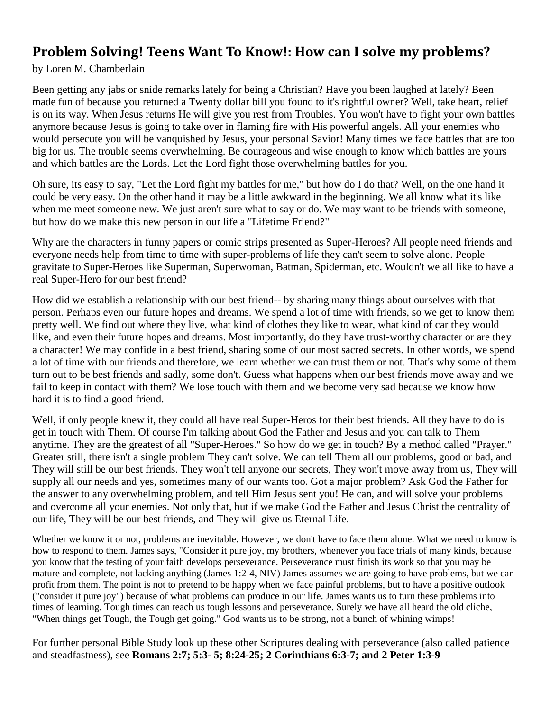#### <span id="page-5-0"></span>**Problem Solving! Teens Want To Know!: How can I solve my problems?**

by Loren M. Chamberlain

Been getting any jabs or snide remarks lately for being a Christian? Have you been laughed at lately? Been made fun of because you returned a Twenty dollar bill you found to it's rightful owner? Well, take heart, relief is on its way. When Jesus returns He will give you rest from Troubles. You won't have to fight your own battles anymore because Jesus is going to take over in flaming fire with His powerful angels. All your enemies who would persecute you will be vanquished by Jesus, your personal Savior! Many times we face battles that are too big for us. The trouble seems overwhelming. Be courageous and wise enough to know which battles are yours and which battles are the Lords. Let the Lord fight those overwhelming battles for you.

Oh sure, its easy to say, "Let the Lord fight my battles for me," but how do I do that? Well, on the one hand it could be very easy. On the other hand it may be a little awkward in the beginning. We all know what it's like when me meet someone new. We just aren't sure what to say or do. We may want to be friends with someone, but how do we make this new person in our life a "Lifetime Friend?"

Why are the characters in funny papers or comic strips presented as Super-Heroes? All people need friends and everyone needs help from time to time with super-problems of life they can't seem to solve alone. People gravitate to Super-Heroes like Superman, Superwoman, Batman, Spiderman, etc. Wouldn't we all like to have a real Super-Hero for our best friend?

How did we establish a relationship with our best friend-- by sharing many things about ourselves with that person. Perhaps even our future hopes and dreams. We spend a lot of time with friends, so we get to know them pretty well. We find out where they live, what kind of clothes they like to wear, what kind of car they would like, and even their future hopes and dreams. Most importantly, do they have trust-worthy character or are they a character! We may confide in a best friend, sharing some of our most sacred secrets. In other words, we spend a lot of time with our friends and therefore, we learn whether we can trust them or not. That's why some of them turn out to be best friends and sadly, some don't. Guess what happens when our best friends move away and we fail to keep in contact with them? We lose touch with them and we become very sad because we know how hard it is to find a good friend.

Well, if only people knew it, they could all have real Super-Heros for their best friends. All they have to do is get in touch with Them. Of course I'm talking about God the Father and Jesus and you can talk to Them anytime. They are the greatest of all "Super-Heroes." So how do we get in touch? By a method called "Prayer." Greater still, there isn't a single problem They can't solve. We can tell Them all our problems, good or bad, and They will still be our best friends. They won't tell anyone our secrets, They won't move away from us, They will supply all our needs and yes, sometimes many of our wants too. Got a major problem? Ask God the Father for the answer to any overwhelming problem, and tell Him Jesus sent you! He can, and will solve your problems and overcome all your enemies. Not only that, but if we make God the Father and Jesus Christ the centrality of our life, They will be our best friends, and They will give us Eternal Life.

Whether we know it or not, problems are inevitable. However, we don't have to face them alone. What we need to know is how to respond to them. James says, "Consider it pure joy, my brothers, whenever you face trials of many kinds, because you know that the testing of your faith develops perseverance. Perseverance must finish its work so that you may be mature and complete, not lacking anything (James 1:2-4, NIV) James assumes we are going to have problems, but we can profit from them. The point is not to pretend to be happy when we face painful problems, but to have a positive outlook ("consider it pure joy") because of what problems can produce in our life. James wants us to turn these problems into times of learning. Tough times can teach us tough lessons and perseverance. Surely we have all heard the old cliche, "When things get Tough, the Tough get going." God wants us to be strong, not a bunch of whining wimps!

For further personal Bible Study look up these other Scriptures dealing with perseverance (also called patience and steadfastness), see **Romans 2:7; 5:3- 5; 8:24-25; 2 Corinthians 6:3-7; and 2 Peter 1:3-9**